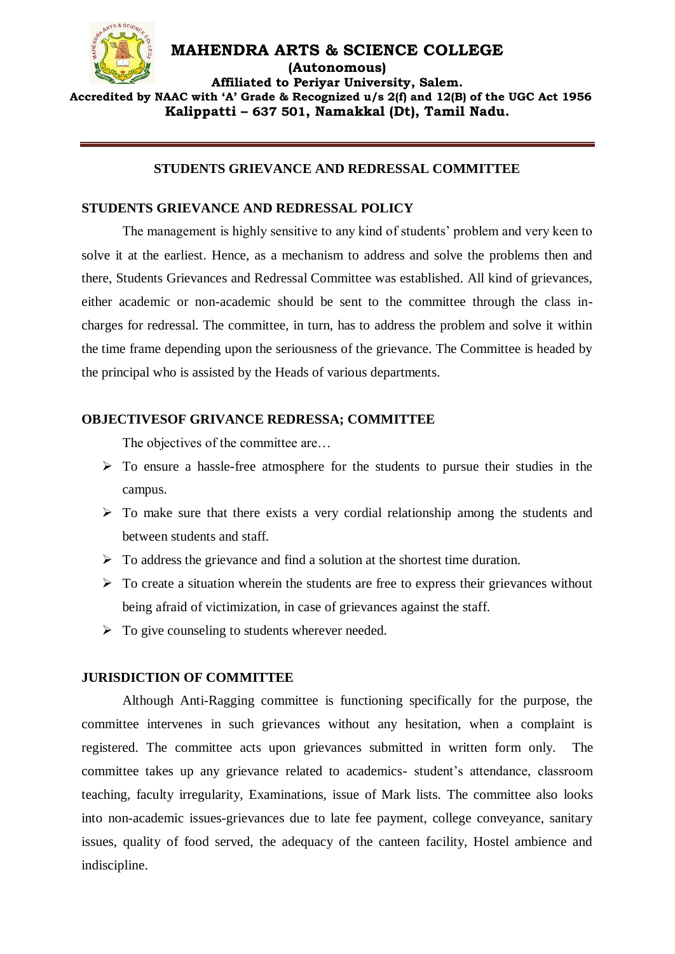

#### **MAHENDRA ARTS & SCIENCE COLLEGE (Autonomous) Affiliated to Periyar University, Salem. Accredited by NAAC with 'A' Grade & Recognized u/s 2(f) and 12(B) of the UGC Act 1956 Kalippatti – 637 501, Namakkal (Dt), Tamil Nadu.**

### **STUDENTS GRIEVANCE AND REDRESSAL COMMITTEE**

#### **STUDENTS GRIEVANCE AND REDRESSAL POLICY**

The management is highly sensitive to any kind of students' problem and very keen to solve it at the earliest. Hence, as a mechanism to address and solve the problems then and there, Students Grievances and Redressal Committee was established. All kind of grievances, either academic or non-academic should be sent to the committee through the class incharges for redressal. The committee, in turn, has to address the problem and solve it within the time frame depending upon the seriousness of the grievance. The Committee is headed by the principal who is assisted by the Heads of various departments.

#### **OBJECTIVESOF GRIVANCE REDRESSA; COMMITTEE**

The objectives of the committee are...

- $\triangleright$  To ensure a hassle-free atmosphere for the students to pursue their studies in the campus.
- $\triangleright$  To make sure that there exists a very cordial relationship among the students and between students and staff.
- $\triangleright$  To address the grievance and find a solution at the shortest time duration.
- $\triangleright$  To create a situation wherein the students are free to express their grievances without being afraid of victimization, in case of grievances against the staff.
- $\triangleright$  To give counseling to students wherever needed.

#### **JURISDICTION OF COMMITTEE**

Although Anti-Ragging committee is functioning specifically for the purpose, the committee intervenes in such grievances without any hesitation, when a complaint is registered. The committee acts upon grievances submitted in written form only. The committee takes up any grievance related to academics- student's attendance, classroom teaching, faculty irregularity, Examinations, issue of Mark lists. The committee also looks into non-academic issues-grievances due to late fee payment, college conveyance, sanitary issues, quality of food served, the adequacy of the canteen facility, Hostel ambience and indiscipline.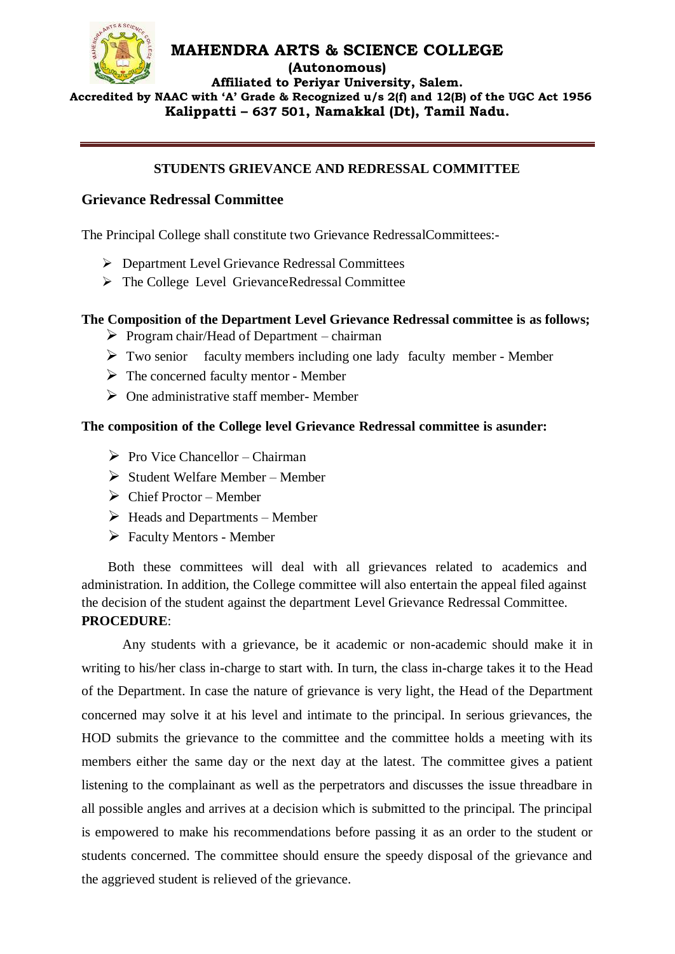

**(Autonomous)**

**Affiliated to Periyar University, Salem. Accredited by NAAC with 'A' Grade & Recognized u/s 2(f) and 12(B) of the UGC Act 1956 Kalippatti – 637 501, Namakkal (Dt), Tamil Nadu.**

### **STUDENTS GRIEVANCE AND REDRESSAL COMMITTEE**

# **Grievance Redressal Committee**

The Principal College shall constitute two Grievance RedressalCommittees:-

- Department Level Grievance Redressal Committees
- The College Level GrievanceRedressal Committee

### **The Composition of the Department Level Grievance Redressal committee is as follows;**

- $\triangleright$  Program chair/Head of Department chairman
- $\triangleright$  Two senior faculty members including one lady faculty member Member
- $\triangleright$  The concerned faculty mentor Member
- $\triangleright$  One administrative staff member- Member

#### **The composition of the College level Grievance Redressal committee is asunder:**

- $\triangleright$  Pro Vice Chancellor Chairman
- $\triangleright$  Student Welfare Member Member
- $\triangleright$  Chief Proctor Member
- $\triangleright$  Heads and Departments Member
- $\triangleright$  Faculty Mentors Member

Both these committees will deal with all grievances related to academics and administration. In addition, the College committee will also entertain the appeal filed against the decision of the student against the department Level Grievance Redressal Committee. **PROCEDURE**:

Any students with a grievance, be it academic or non-academic should make it in writing to his/her class in-charge to start with. In turn, the class in-charge takes it to the Head of the Department. In case the nature of grievance is very light, the Head of the Department concerned may solve it at his level and intimate to the principal. In serious grievances, the HOD submits the grievance to the committee and the committee holds a meeting with its members either the same day or the next day at the latest. The committee gives a patient listening to the complainant as well as the perpetrators and discusses the issue threadbare in all possible angles and arrives at a decision which is submitted to the principal. The principal is empowered to make his recommendations before passing it as an order to the student or students concerned. The committee should ensure the speedy disposal of the grievance and the aggrieved student is relieved of the grievance.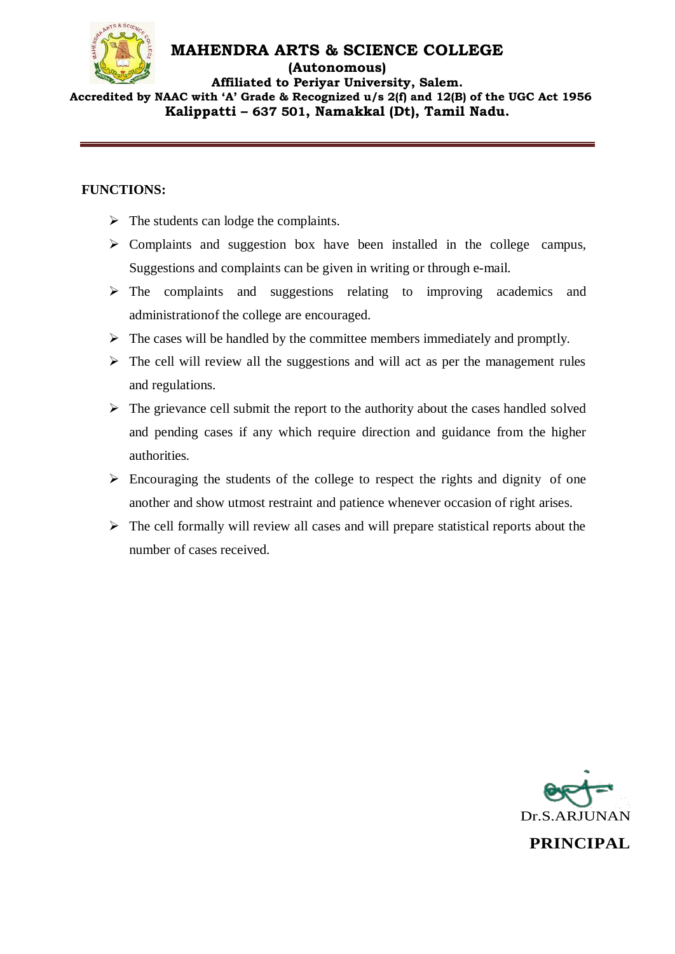

#### **(Autonomous)**

**Affiliated to Periyar University, Salem. Accredited by NAAC with 'A' Grade & Recognized u/s 2(f) and 12(B) of the UGC Act 1956 Kalippatti – 637 501, Namakkal (Dt), Tamil Nadu.**

# **FUNCTIONS:**

- $\triangleright$  The students can lodge the complaints.
- $\triangleright$  Complaints and suggestion box have been installed in the college campus, Suggestions and complaints can be given in writing or through e-mail.
- $\triangleright$  The complaints and suggestions relating to improving academics and administrationof the college are encouraged.
- $\triangleright$  The cases will be handled by the committee members immediately and promptly.
- $\triangleright$  The cell will review all the suggestions and will act as per the management rules and regulations.
- $\triangleright$  The grievance cell submit the report to the authority about the cases handled solved and pending cases if any which require direction and guidance from the higher authorities.
- $\triangleright$  Encouraging the students of the college to respect the rights and dignity of one another and show utmost restraint and patience whenever occasion of right arises.
- $\triangleright$  The cell formally will review all cases and will prepare statistical reports about the number of cases received.

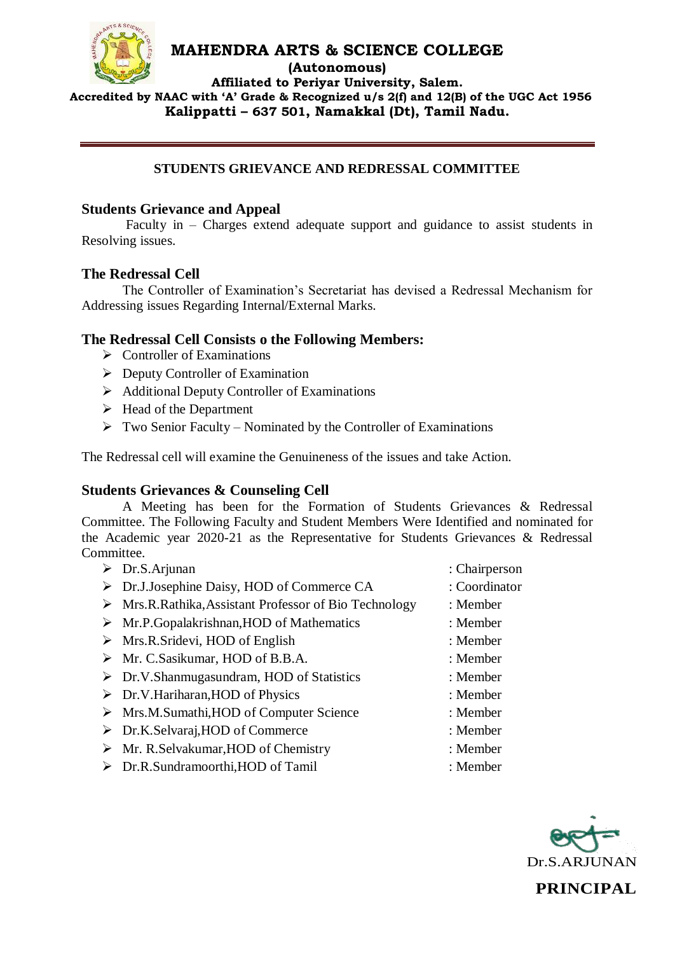

**(Autonomous)**

**Affiliated to Periyar University, Salem.**

 **Accredited by NAAC with 'A' Grade & Recognized u/s 2(f) and 12(B) of the UGC Act 1956 Kalippatti – 637 501, Namakkal (Dt), Tamil Nadu.**

# **STUDENTS GRIEVANCE AND REDRESSAL COMMITTEE**

# **Students Grievance and Appeal**

Faculty in – Charges extend adequate support and guidance to assist students in Resolving issues.

### **The Redressal Cell**

The Controller of Examination's Secretariat has devised a Redressal Mechanism for Addressing issues Regarding Internal/External Marks.

# **The Redressal Cell Consists o the Following Members:**

- $\triangleright$  Controller of Examinations
- $\triangleright$  Deputy Controller of Examination
- $\triangleright$  Additional Deputy Controller of Examinations
- $\triangleright$  Head of the Department
- $\triangleright$  Two Senior Faculty Nominated by the Controller of Examinations

The Redressal cell will examine the Genuineness of the issues and take Action.

# **Students Grievances & Counseling Cell**

A Meeting has been for the Formation of Students Grievances & Redressal Committee. The Following Faculty and Student Members Were Identified and nominated for the Academic year 2020-21 as the Representative for Students Grievances & Redressal Committee.

| $\triangleright$ Dr.S.Arjunan                                        | : Chairperson |
|----------------------------------------------------------------------|---------------|
| $\triangleright$ Dr.J.Josephine Daisy, HOD of Commerce CA            | : Coordinator |
| $\triangleright$ Mrs.R.Rathika,Assistant Professor of Bio Technology | $:$ Member    |
| $\triangleright$ Mr.P.Gopalakrishnan, HOD of Mathematics             | $:$ Member    |

- 
- Mrs.R.Sridevi, HOD of English : Member
- Mr. C.Sasikumar, HOD of B.B.A. : Member
- Dr.V.Shanmugasundram, HOD of Statistics : Member
- Dr.V.Hariharan,HOD of Physics : Member
- ▶ Mrs.M.Sumathi,HOD of Computer Science : Member
- Dr.K.Selvaraj,HOD of Commerce : Member
- Mr. R.Selvakumar,HOD of Chemistry : Member
- Dr.R.Sundramoorthi,HOD of Tamil : Member
- 
- 
- 
- 
- 
- 
- 
- 
- 
- 
- 
- 

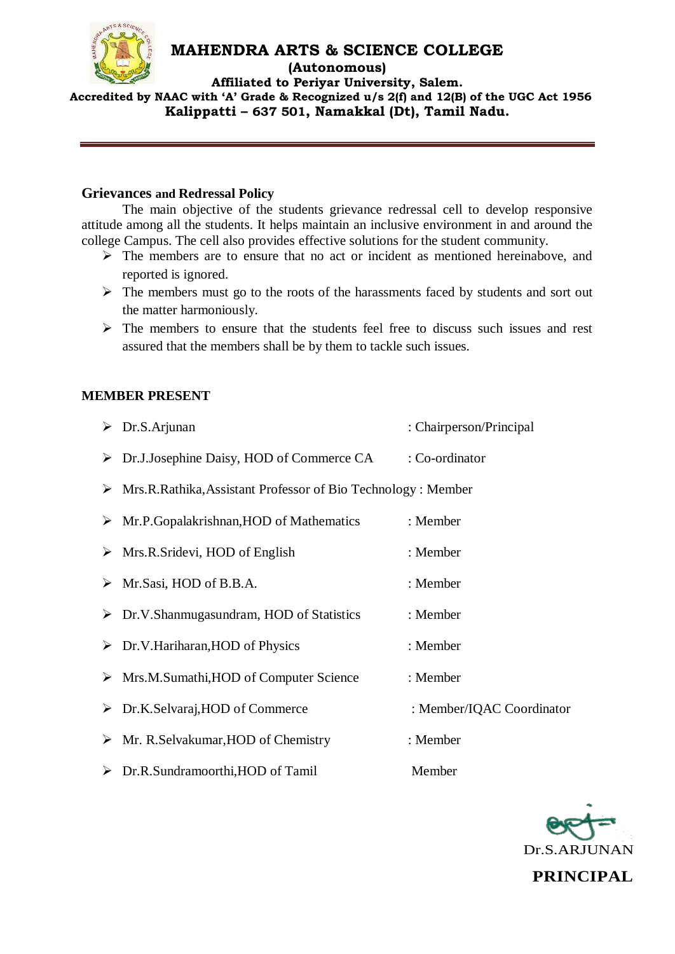

**(Autonomous)**

**Affiliated to Periyar University, Salem. Accredited by NAAC with 'A' Grade & Recognized u/s 2(f) and 12(B) of the UGC Act 1956 Kalippatti – 637 501, Namakkal (Dt), Tamil Nadu.**

### **Grievances and Redressal Policy**

The main objective of the students grievance redressal cell to develop responsive attitude among all the students. It helps maintain an inclusive environment in and around the college Campus. The cell also provides effective solutions for the student community.

- $\triangleright$  The members are to ensure that no act or incident as mentioned hereinabove, and reported is ignored.
- $\triangleright$  The members must go to the roots of the harassments faced by students and sort out the matter harmoniously.
- $\triangleright$  The members to ensure that the students feel free to discuss such issues and rest assured that the members shall be by them to tackle such issues.

### **MEMBER PRESENT**

| $\triangleright$ Dr.S.Arjunan                                                  | : Chairperson/Principal   |
|--------------------------------------------------------------------------------|---------------------------|
| $\triangleright$ Dr.J.Josephine Daisy, HOD of Commerce CA                      | : Co-ordinator            |
| $\triangleright$ Mrs.R.Rathika, Assistant Professor of Bio Technology : Member |                           |
| $\triangleright$ Mr.P.Gopalakrishnan, HOD of Mathematics                       | : Member                  |
| $\triangleright$ Mrs.R.Sridevi, HOD of English                                 | : Member                  |
| $\triangleright$ Mr. Sasi, HOD of B.B.A.                                       | : Member                  |
| $\triangleright$ Dr.V.Shanmugasundram, HOD of Statistics                       | : Member                  |
| $\triangleright$ Dr.V.Hariharan, HOD of Physics                                | : Member                  |
| $\triangleright$ Mrs.M.Sumathi, HOD of Computer Science                        | : Member                  |
| $\triangleright$ Dr.K.Selvaraj, HOD of Commerce                                | : Member/IQAC Coordinator |
| $\triangleright$ Mr. R.Selvakumar, HOD of Chemistry                            | : Member                  |
| $\triangleright$ Dr.R.Sundramoorthi, HOD of Tamil                              | Member                    |

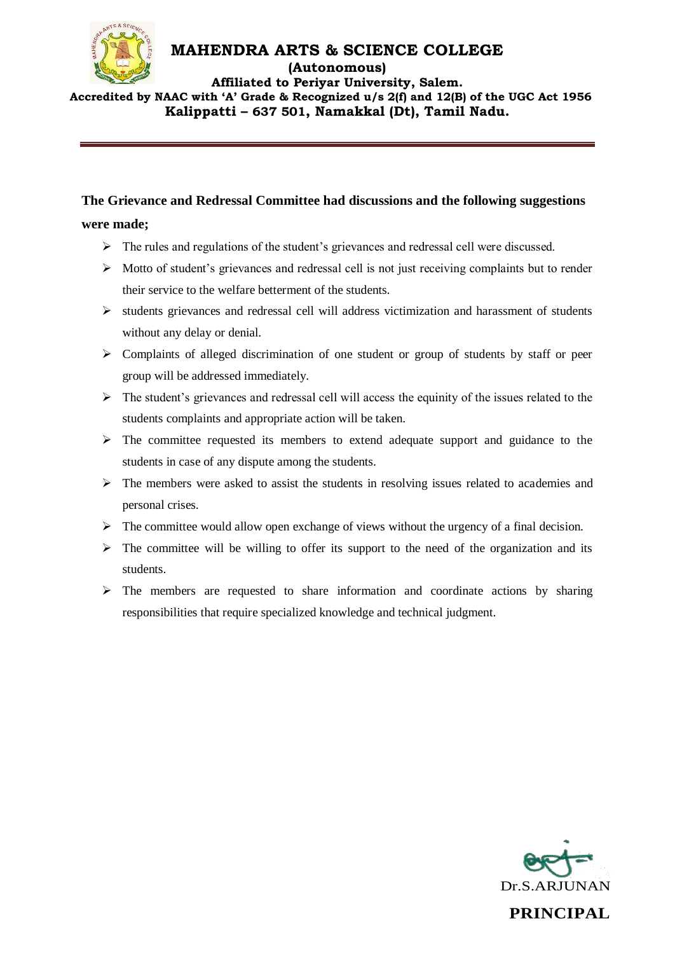

**(Autonomous)**

**Affiliated to Periyar University, Salem. Accredited by NAAC with 'A' Grade & Recognized u/s 2(f) and 12(B) of the UGC Act 1956 Kalippatti – 637 501, Namakkal (Dt), Tamil Nadu.**

### **The Grievance and Redressal Committee had discussions and the following suggestions**

#### **were made;**

- The rules and regulations of the student's grievances and redressal cell were discussed.
- $\triangleright$  Motto of student's grievances and redressal cell is not just receiving complaints but to render their service to the welfare betterment of the students.
- $\triangleright$  students grievances and redressal cell will address victimization and harassment of students without any delay or denial.
- $\triangleright$  Complaints of alleged discrimination of one student or group of students by staff or peer group will be addressed immediately.
- $\triangleright$  The student's grievances and redressal cell will access the equinity of the issues related to the students complaints and appropriate action will be taken.
- $\triangleright$  The committee requested its members to extend adequate support and guidance to the students in case of any dispute among the students.
- $\triangleright$  The members were asked to assist the students in resolving issues related to academies and personal crises.
- $\triangleright$  The committee would allow open exchange of views without the urgency of a final decision.
- $\triangleright$  The committee will be willing to offer its support to the need of the organization and its students.
- $\triangleright$  The members are requested to share information and coordinate actions by sharing responsibilities that require specialized knowledge and technical judgment.

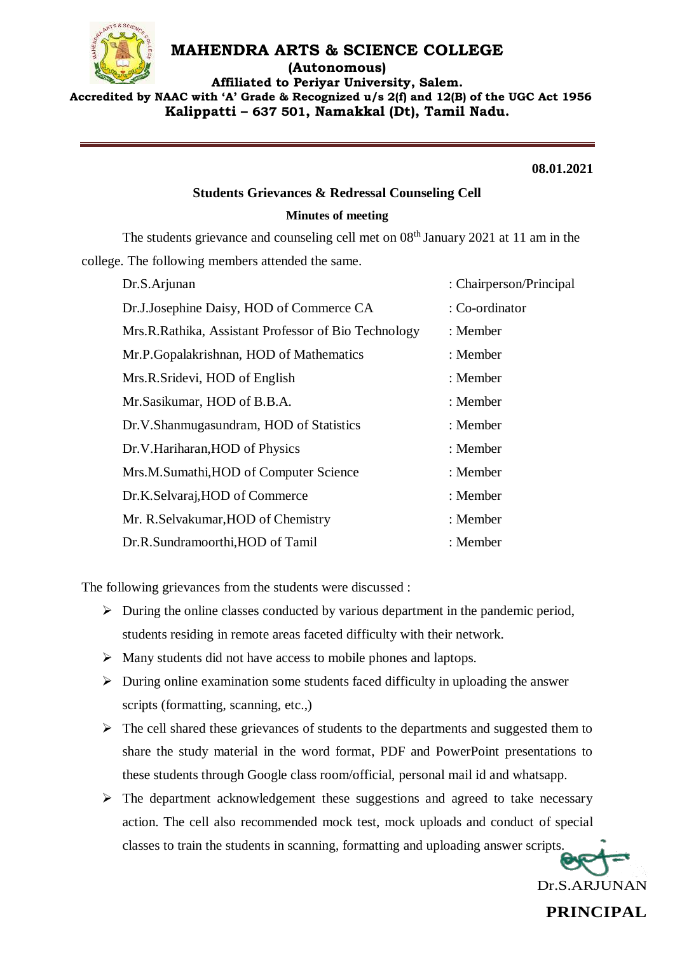

**(Autonomous)**

**Affiliated to Periyar University, Salem. Accredited by NAAC with 'A' Grade & Recognized u/s 2(f) and 12(B) of the UGC Act 1956 Kalippatti – 637 501, Namakkal (Dt), Tamil Nadu.**

**08.01.2021**

#### **Students Grievances & Redressal Counseling Cell**

#### **Minutes of meeting**

The students grievance and counseling cell met on  $08<sup>th</sup>$  January 2021 at 11 am in the college. The following members attended the same.

| Dr.S.Arjunan                                         | : Chairperson/Principal |
|------------------------------------------------------|-------------------------|
| Dr.J.Josephine Daisy, HOD of Commerce CA             | : Co-ordinator          |
| Mrs.R.Rathika, Assistant Professor of Bio Technology | : Member                |
| Mr.P.Gopalakrishnan, HOD of Mathematics              | : Member                |
| Mrs.R.Sridevi, HOD of English                        | : Member                |
| Mr. Sasikumar, HOD of B.B.A.                         | : Member                |
| Dr.V.Shanmugasundram, HOD of Statistics              | : Member                |
| Dr.V.Hariharan, HOD of Physics                       | : Member                |
| Mrs.M.Sumathi, HOD of Computer Science               | : Member                |
| Dr.K.Selvaraj, HOD of Commerce                       | : Member                |
| Mr. R. Selvakumar, HOD of Chemistry                  | : Member                |
| Dr.R.Sundramoorthi, HOD of Tamil                     | : Member                |

The following grievances from the students were discussed :

- $\triangleright$  During the online classes conducted by various department in the pandemic period, students residing in remote areas faceted difficulty with their network.
- $\triangleright$  Many students did not have access to mobile phones and laptops.
- $\triangleright$  During online examination some students faced difficulty in uploading the answer scripts (formatting, scanning, etc.,)
- $\triangleright$  The cell shared these grievances of students to the departments and suggested them to share the study material in the word format, PDF and PowerPoint presentations to these students through Google class room/official, personal mail id and whatsapp.
- $\triangleright$  The department acknowledgement these suggestions and agreed to take necessary action. The cell also recommended mock test, mock uploads and conduct of special classes to train the students in scanning, formatting and uploading answer scripts.

Dr.S.ARJUNAN

**PRINCIPAL**